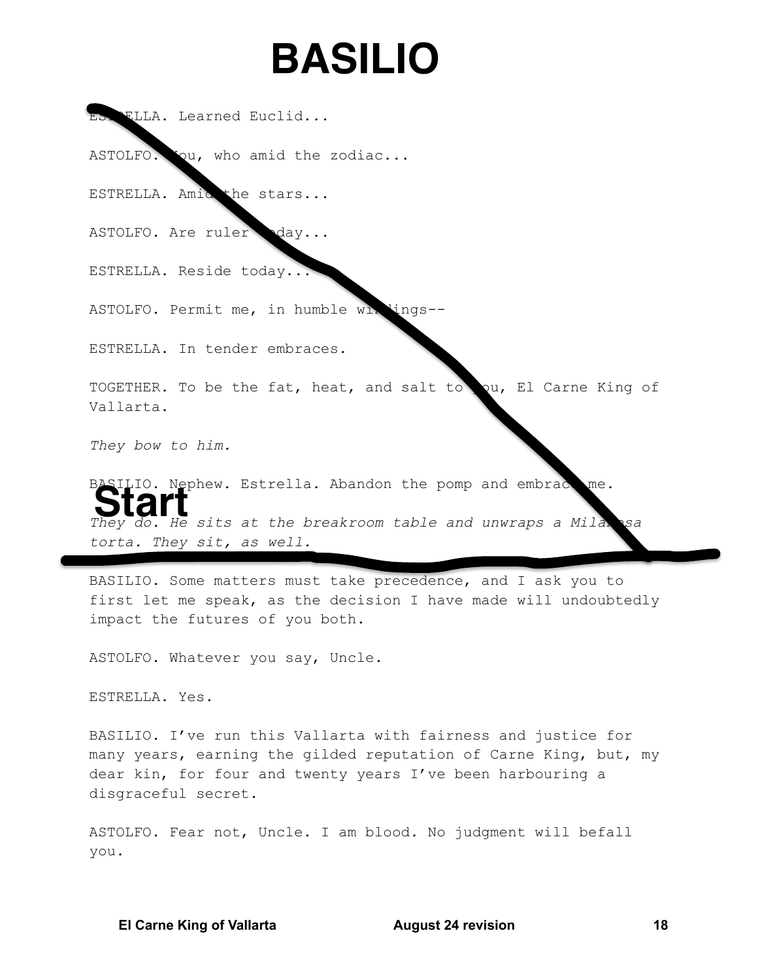## **BASILIO**

ES FLLA. Learned Euclid...

ASTOLFO. Qu, who amid the zodiac...

ESTRELLA. Amid the stars...

ASTOLFO. Are ruler day...

ESTRELLA. Reside today..

ASTOLFO. Permit me, in humble wi ings

ESTRELLA. In tender embraces.

TOGETHER. To be the fat, heat, and salt to ou, El Carne King of Vallarta.

They bow to him.

BASILIO. Nephew. Estrella. Abandon the pomp and embrac me. They do. He sits at the breakroom table and unwraps a Mila sa torta. They sit, as well.

BASILIO. Some matters must take precedence, and I ask you to first let me speak, as the decision I have made will undoubtedly impact the futures of you both.

ASTOLFO. Whatever you say, Uncle.

ESTRELLA. Yes.

BASILIO. I've run this Vallarta with fairness and justice for many years, earning the gilded reputation of Carne King, but, my dear kin, for four and twenty years I've been harbouring a disgraceful secret.

ASTOLFO. Fear not, Uncle. I am blood. No judgment will befall you.

**El Carne King of Vallarta** 

**August 24 revision**